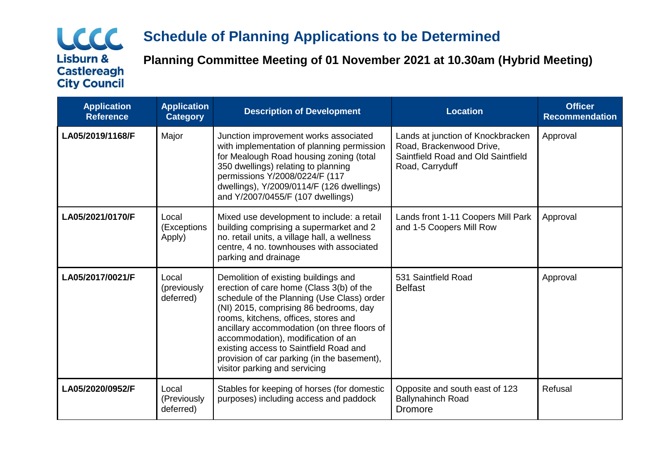## LCCC **Lisburn & Castlereagh City Council**

# **Schedule of Planning Applications to be Determined**

**Planning Committee Meeting of 01 November 2021 at 10.30am (Hybrid Meeting)**

| <b>Application</b><br><b>Reference</b> | <b>Application</b><br><b>Category</b> | <b>Description of Development</b>                                                                                                                                                                                                                                                                                                                                                                                               | <b>Location</b>                                                                                                        | <b>Officer</b><br><b>Recommendation</b> |
|----------------------------------------|---------------------------------------|---------------------------------------------------------------------------------------------------------------------------------------------------------------------------------------------------------------------------------------------------------------------------------------------------------------------------------------------------------------------------------------------------------------------------------|------------------------------------------------------------------------------------------------------------------------|-----------------------------------------|
| LA05/2019/1168/F                       | Major                                 | Junction improvement works associated<br>with implementation of planning permission<br>for Mealough Road housing zoning (total<br>350 dwellings) relating to planning<br>permissions Y/2008/0224/F (117<br>dwellings), Y/2009/0114/F (126 dwellings)<br>and Y/2007/0455/F (107 dwellings)                                                                                                                                       | Lands at junction of Knockbracken<br>Road, Brackenwood Drive,<br>Saintfield Road and Old Saintfield<br>Road, Carryduff | Approval                                |
| LA05/2021/0170/F                       | Local<br>(Exceptions<br>Apply)        | Mixed use development to include: a retail<br>building comprising a supermarket and 2<br>no. retail units, a village hall, a wellness<br>centre, 4 no. townhouses with associated<br>parking and drainage                                                                                                                                                                                                                       | Lands front 1-11 Coopers Mill Park<br>and 1-5 Coopers Mill Row                                                         | Approval                                |
| LA05/2017/0021/F                       | Local<br>(previously<br>deferred)     | Demolition of existing buildings and<br>erection of care home (Class 3(b) of the<br>schedule of the Planning (Use Class) order<br>(NI) 2015, comprising 86 bedrooms, day<br>rooms, kitchens, offices, stores and<br>ancillary accommodation (on three floors of<br>accommodation), modification of an<br>existing access to Saintfield Road and<br>provision of car parking (in the basement),<br>visitor parking and servicing | 531 Saintfield Road<br><b>Belfast</b>                                                                                  | Approval                                |
| LA05/2020/0952/F                       | Local<br>(Previously<br>deferred)     | Stables for keeping of horses (for domestic<br>purposes) including access and paddock                                                                                                                                                                                                                                                                                                                                           | Opposite and south east of 123<br><b>Ballynahinch Road</b><br>Dromore                                                  | Refusal                                 |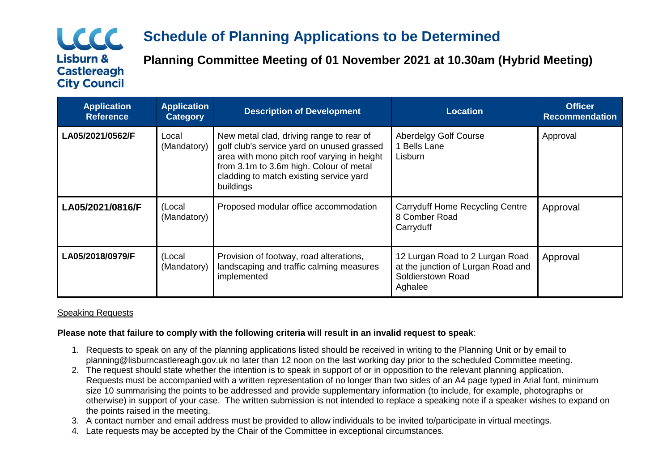## LCCC **Lisburn & Castlereagh City Council**

# **Schedule of Planning Applications to be Determined**

**Planning Committee Meeting of 01 November 2021 at 10.30am (Hybrid Meeting)**

| <b>Application</b><br><b>Reference</b> | <b>Application</b><br><b>Category</b> | <b>Description of Development</b>                                                                                                                                                                                                        | <b>Location</b>                                                                                       | <b>Officer</b><br><b>Recommendation</b> |
|----------------------------------------|---------------------------------------|------------------------------------------------------------------------------------------------------------------------------------------------------------------------------------------------------------------------------------------|-------------------------------------------------------------------------------------------------------|-----------------------------------------|
| LA05/2021/0562/F                       | Local<br>(Mandatory)                  | New metal clad, driving range to rear of<br>golf club's service yard on unused grassed<br>area with mono pitch roof varying in height<br>from 3.1m to 3.6m high. Colour of metal<br>cladding to match existing service yard<br>buildings | <b>Aberdelgy Golf Course</b><br><b>Bells Lane</b><br>Lisburn                                          | Approval                                |
| LA05/2021/0816/F                       | (Local<br>(Mandatory)                 | Proposed modular office accommodation                                                                                                                                                                                                    | <b>Carryduff Home Recycling Centre</b><br>8 Comber Road<br>Carryduff                                  | Approval                                |
| LA05/2018/0979/F                       | (Local<br>(Mandatory)                 | Provision of footway, road alterations,<br>landscaping and traffic calming measures<br>implemented                                                                                                                                       | 12 Lurgan Road to 2 Lurgan Road<br>at the junction of Lurgan Road and<br>Soldierstown Road<br>Aghalee | Approval                                |

## Speaking Requests

### **Please note that failure to comply with the following criteria will result in an invalid request to speak**:

- 1. Requests to speak on any of the planning applications listed should be received in writing to the Planning Unit or by email to planning@lisburncastlereagh.gov.uk no later than 12 noon on the last working day prior to the scheduled Committee meeting.
- 2. The request should state whether the intention is to speak in support of or in opposition to the relevant planning application. Requests must be accompanied with a written representation of no longer than two sides of an A4 page typed in Arial font, minimum size 10 summarising the points to be addressed and provide supplementary information (to include, for example, photographs or otherwise) in support of your case. The written submission is not intended to replace a speaking note if a speaker wishes to expand on the points raised in the meeting.
- 3. A contact number and email address must be provided to allow individuals to be invited to/participate in virtual meetings.
- 4. Late requests may be accepted by the Chair of the Committee in exceptional circumstances.